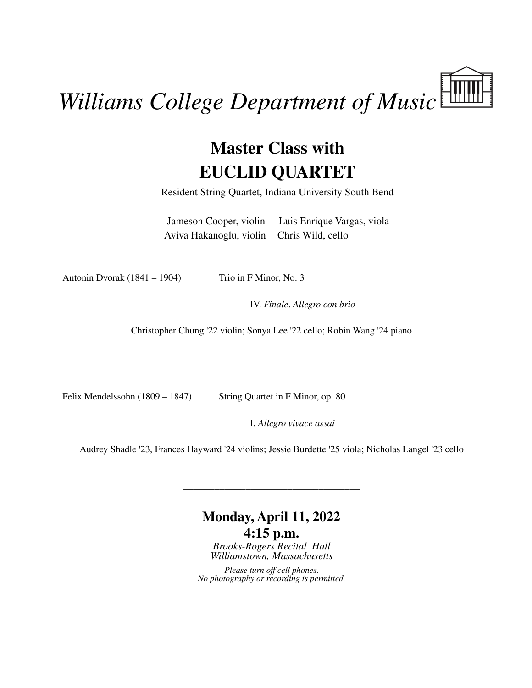## *Williams College Department of Music*

## **Master Class with EUCLID QUARTET**

Resident String Quartet, Indiana University South Bend

Jameson Cooper, violin Luis Enrique Vargas, viola Aviva Hakanoglu, violin Chris Wild, cello

Antonin Dvorak  $(1841 - 1904)$  Trio in F Minor, No. 3

IV. *Finale*. *Allegro con brio*

Christopher Chung '22 violin; Sonya Lee '22 cello; Robin Wang '24 piano

Felix Mendelssohn (1809 – 1847) String Quartet in F Minor, op. 80

I. *Allegro vivace assai*

Audrey Shadle '23, Frances Hayward '24 violins; Jessie Burdette '25 viola; Nicholas Langel '23 cello

\_\_\_\_\_\_\_\_\_\_\_\_\_\_\_\_\_\_\_\_\_\_\_\_\_\_\_\_\_\_\_\_\_\_

## **Monday, April 11, 2022 4:15 p.m.**

*Brooks-Rogers Recital Hall Williamstown, Massachusetts*

*Please turn off cell phones. No photography or recording is permitted.*